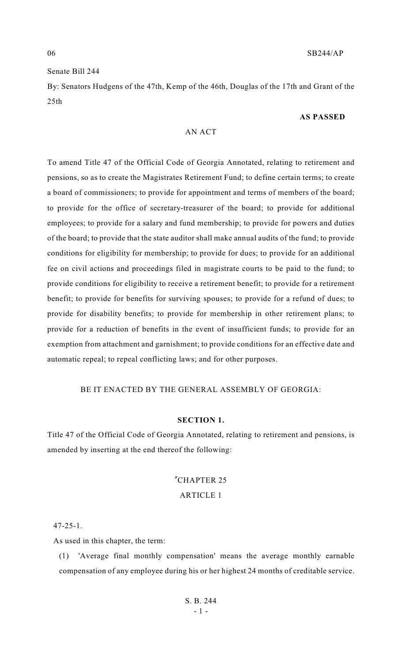### Senate Bill 244

By: Senators Hudgens of the 47th, Kemp of the 46th, Douglas of the 17th and Grant of the  $25<sub>th</sub>$ 

#### **AS PASSED**

### AN ACT

To amend Title 47 of the Official Code of Georgia Annotated, relating to retirement and pensions, so as to create the Magistrates Retirement Fund; to define certain terms; to create a board of commissioners; to provide for appointment and terms of members of the board; to provide for the office of secretary-treasurer of the board; to provide for additional employees; to provide for a salary and fund membership; to provide for powers and duties of the board; to provide that the state auditor shall make annual audits of the fund; to provide conditions for eligibility for membership; to provide for dues; to provide for an additional fee on civil actions and proceedings filed in magistrate courts to be paid to the fund; to provide conditions for eligibility to receive a retirement benefit; to provide for a retirement benefit; to provide for benefits for surviving spouses; to provide for a refund of dues; to provide for disability benefits; to provide for membership in other retirement plans; to provide for a reduction of benefits in the event of insufficient funds; to provide for an exemption from attachment and garnishment; to provide conditions for an effective date and automatic repeal; to repeal conflicting laws; and for other purposes.

### BE IT ENACTED BY THE GENERAL ASSEMBLY OF GEORGIA:

#### **SECTION 1.**

Title 47 of the Official Code of Georgia Annotated, relating to retirement and pensions, is amended by inserting at the end thereof the following:

# "CHAPTER 25

## ARTICLE 1

#### 47-25-1.

As used in this chapter, the term:

(1) 'Average final monthly compensation' means the average monthly earnable compensation of any employee during his or her highest 24 months of creditable service.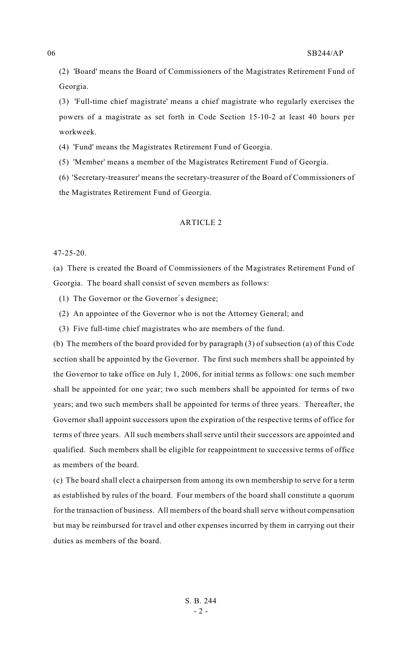(2) 'Board' means the Board of Commissioners of the Magistrates Retirement Fund of Georgia.

(3) 'Full-time chief magistrate' means a chief magistrate who regularly exercises the powers of a magistrate as set forth in Code Section 15-10-2 at least 40 hours per workweek.

(4) 'Fund' means the Magistrates Retirement Fund of Georgia.

(5) 'Member' means a member of the Magistrates Retirement Fund of Georgia.

(6) 'Secretary-treasurer' means the secretary-treasurer of the Board of Commissioners of the Magistrates Retirement Fund of Georgia.

#### ARTICLE 2

#### 47-25-20.

(a) There is created the Board of Commissioners of the Magistrates Retirement Fund of Georgia. The board shall consist of seven members as follows:

(1) The Governor or the Governor's designee;

- (2) An appointee of the Governor who is not the Attorney General; and
- (3) Five full-time chief magistrates who are members of the fund.

(b) The members of the board provided for by paragraph (3) of subsection (a) of this Code section shall be appointed by the Governor. The first such members shall be appointed by the Governor to take office on July 1, 2006, for initial terms as follows: one such member shall be appointed for one year; two such members shall be appointed for terms of two years; and two such members shall be appointed for terms of three years. Thereafter, the Governor shall appoint successors upon the expiration of the respective terms of office for terms of three years. All such members shall serve until their successors are appointed and qualified. Such members shall be eligible for reappointment to successive terms of office as members of the board.

(c) The board shall elect a chairperson from among its own membership to serve for a term as established by rules of the board. Four members of the board shall constitute a quorum for the transaction of business. All members of the board shall serve without compensation but may be reimbursed for travel and other expenses incurred by them in carrying out their duties as members of the board.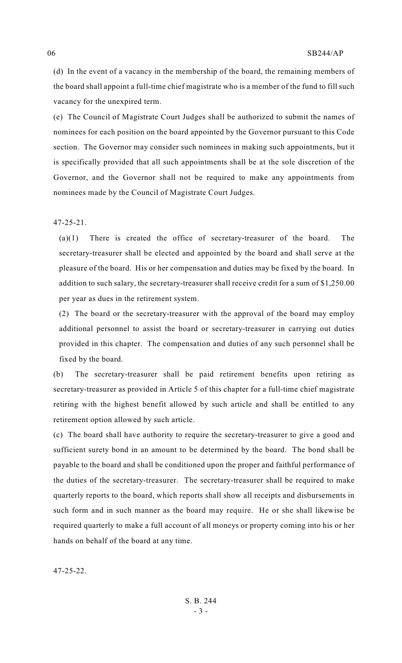(d) In the event of a vacancy in the membership of the board, the remaining members of the board shall appoint a full-time chief magistrate who is a member of the fund to fill such vacancy for the unexpired term.

(e) The Council of Magistrate Court Judges shall be authorized to submit the names of nominees for each position on the board appointed by the Governor pursuant to this Code section. The Governor may consider such nominees in making such appointments, but it is specifically provided that all such appointments shall be at the sole discretion of the Governor, and the Governor shall not be required to make any appointments from nominees made by the Council of Magistrate Court Judges.

47-25-21.

(a)(1) There is created the office of secretary-treasurer of the board. The secretary-treasurer shall be elected and appointed by the board and shall serve at the pleasure of the board. His or her compensation and duties may be fixed by the board. In addition to such salary, the secretary-treasurer shall receive credit for a sum of \$1,250.00 per year as dues in the retirement system.

(2) The board or the secretary-treasurer with the approval of the board may employ additional personnel to assist the board or secretary-treasurer in carrying out duties provided in this chapter. The compensation and duties of any such personnel shall be fixed by the board.

(b) The secretary-treasurer shall be paid retirement benefits upon retiring as secretary-treasurer as provided in Article 5 of this chapter for a full-time chief magistrate retiring with the highest benefit allowed by such article and shall be entitled to any retirement option allowed by such article.

(c) The board shall have authority to require the secretary-treasurer to give a good and sufficient surety bond in an amount to be determined by the board. The bond shall be payable to the board and shall be conditioned upon the proper and faithful performance of the duties of the secretary-treasurer. The secretary-treasurer shall be required to make quarterly reports to the board, which reports shall show all receipts and disbursements in such form and in such manner as the board may require. He or she shall likewise be required quarterly to make a full account of all moneys or property coming into his or her hands on behalf of the board at any time.

47-25-22.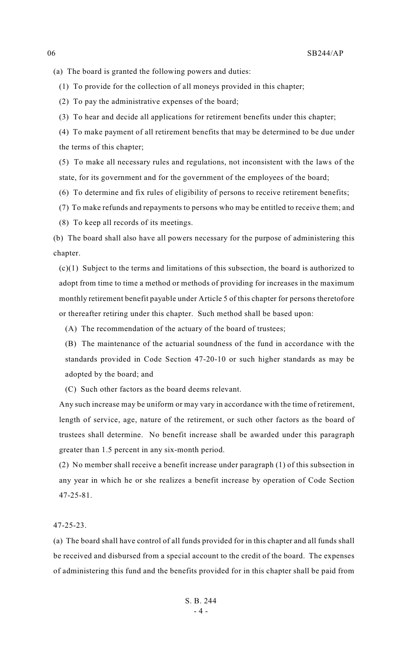(a) The board is granted the following powers and duties:

(1) To provide for the collection of all moneys provided in this chapter;

(2) To pay the administrative expenses of the board;

(3) To hear and decide all applications for retirement benefits under this chapter;

(4) To make payment of all retirement benefits that may be determined to be due under the terms of this chapter;

(5) To make all necessary rules and regulations, not inconsistent with the laws of the state, for its government and for the government of the employees of the board;

(6) To determine and fix rules of eligibility of persons to receive retirement benefits;

(7) To make refunds and repayments to persons who may be entitled to receive them; and

(8) To keep all records of its meetings.

(b) The board shall also have all powers necessary for the purpose of administering this chapter.

(c)(1) Subject to the terms and limitations of this subsection, the board is authorized to adopt from time to time a method or methods of providing for increases in the maximum monthly retirement benefit payable under Article 5 of this chapter for persons theretofore or thereafter retiring under this chapter. Such method shall be based upon:

(A) The recommendation of the actuary of the board of trustees;

(B) The maintenance of the actuarial soundness of the fund in accordance with the standards provided in Code Section 47-20-10 or such higher standards as may be adopted by the board; and

(C) Such other factors as the board deems relevant.

Any such increase may be uniform or may vary in accordance with the time of retirement, length of service, age, nature of the retirement, or such other factors as the board of trustees shall determine. No benefit increase shall be awarded under this paragraph greater than 1.5 percent in any six-month period.

(2) No member shall receive a benefit increase under paragraph (1) of this subsection in any year in which he or she realizes a benefit increase by operation of Code Section 47-25-81.

47-25-23.

(a) The board shall have control of all funds provided for in this chapter and all funds shall be received and disbursed from a special account to the credit of the board. The expenses of administering this fund and the benefits provided for in this chapter shall be paid from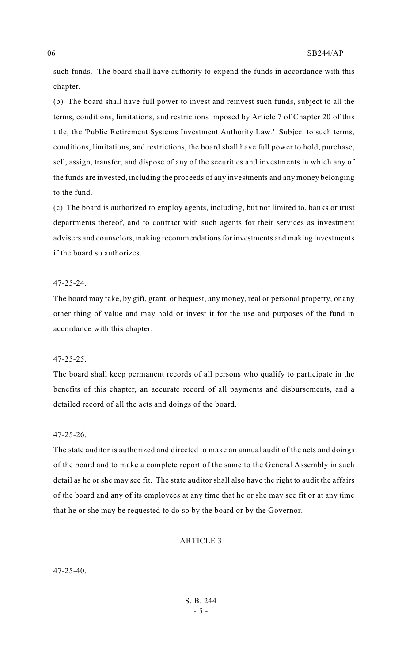such funds. The board shall have authority to expend the funds in accordance with this chapter.

(b) The board shall have full power to invest and reinvest such funds, subject to all the terms, conditions, limitations, and restrictions imposed by Article 7 of Chapter 20 of this title, the 'Public Retirement Systems Investment Authority Law.' Subject to such terms, conditions, limitations, and restrictions, the board shall have full power to hold, purchase, sell, assign, transfer, and dispose of any of the securities and investments in which any of the funds are invested, including the proceeds of any investments and any money belonging to the fund.

(c) The board is authorized to employ agents, including, but not limited to, banks or trust departments thereof, and to contract with such agents for their services as investment advisers and counselors, making recommendations for investments and making investments if the board so authorizes.

#### 47-25-24.

The board may take, by gift, grant, or bequest, any money, real or personal property, or any other thing of value and may hold or invest it for the use and purposes of the fund in accordance with this chapter.

#### 47-25-25.

The board shall keep permanent records of all persons who qualify to participate in the benefits of this chapter, an accurate record of all payments and disbursements, and a detailed record of all the acts and doings of the board.

#### 47-25-26.

The state auditor is authorized and directed to make an annual audit of the acts and doings of the board and to make a complete report of the same to the General Assembly in such detail as he or she may see fit. The state auditor shall also have the right to audit the affairs of the board and any of its employees at any time that he or she may see fit or at any time that he or she may be requested to do so by the board or by the Governor.

#### ARTICLE 3

47-25-40.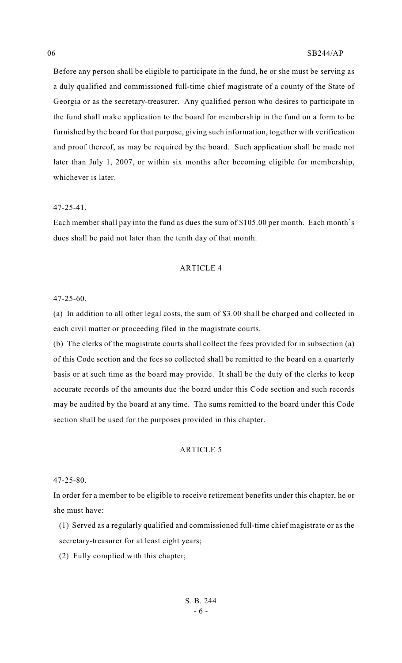Before any person shall be eligible to participate in the fund, he or she must be serving as a duly qualified and commissioned full-time chief magistrate of a county of the State of Georgia or as the secretary-treasurer. Any qualified person who desires to participate in the fund shall make application to the board for membership in the fund on a form to be furnished by the board for that purpose, giving such information, together with verification and proof thereof, as may be required by the board. Such application shall be made not later than July 1, 2007, or within six months after becoming eligible for membership, whichever is later.

#### 47-25-41.

Each member shall pay into the fund as dues the sum of \$105.00 per month. Each month's dues shall be paid not later than the tenth day of that month.

#### ARTICLE 4

47-25-60.

(a) In addition to all other legal costs, the sum of \$3.00 shall be charged and collected in each civil matter or proceeding filed in the magistrate courts.

(b) The clerks of the magistrate courts shall collect the fees provided for in subsection (a) of this Code section and the fees so collected shall be remitted to the board on a quarterly basis or at such time as the board may provide. It shall be the duty of the clerks to keep accurate records of the amounts due the board under this Code section and such records may be audited by the board at any time. The sums remitted to the board under this Code section shall be used for the purposes provided in this chapter.

#### ARTICLE 5

47-25-80.

In order for a member to be eligible to receive retirement benefits under this chapter, he or she must have:

(1) Served as a regularly qualified and commissioned full-time chief magistrate or as the secretary-treasurer for at least eight years;

(2) Fully complied with this chapter;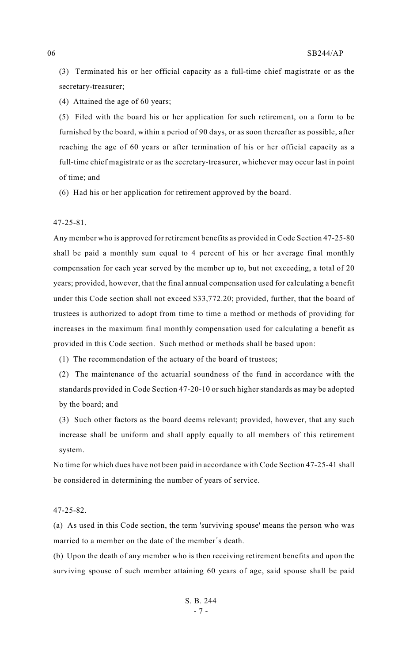(3) Terminated his or her official capacity as a full-time chief magistrate or as the secretary-treasurer;

(4) Attained the age of 60 years;

(5) Filed with the board his or her application for such retirement, on a form to be furnished by the board, within a period of 90 days, or as soon thereafter as possible, after reaching the age of 60 years or after termination of his or her official capacity as a full-time chief magistrate or as the secretary-treasurer, whichever may occur last in point of time; and

(6) Had his or her application for retirement approved by the board.

47-25-81.

Any member who is approved for retirement benefits as provided in Code Section 47-25-80 shall be paid a monthly sum equal to 4 percent of his or her average final monthly compensation for each year served by the member up to, but not exceeding, a total of 20 years; provided, however, that the final annual compensation used for calculating a benefit under this Code section shall not exceed \$33,772.20; provided, further, that the board of trustees is authorized to adopt from time to time a method or methods of providing for increases in the maximum final monthly compensation used for calculating a benefit as provided in this Code section. Such method or methods shall be based upon:

(1) The recommendation of the actuary of the board of trustees;

(2) The maintenance of the actuarial soundness of the fund in accordance with the standards provided in Code Section 47-20-10 or such higher standards as may be adopted by the board; and

(3) Such other factors as the board deems relevant; provided, however, that any such increase shall be uniform and shall apply equally to all members of this retirement system.

No time for which dues have not been paid in accordance with Code Section 47-25-41 shall be considered in determining the number of years of service.

47-25-82.

(a) As used in this Code section, the term 'surviving spouse' means the person who was married to a member on the date of the member's death.

(b) Upon the death of any member who is then receiving retirement benefits and upon the surviving spouse of such member attaining 60 years of age, said spouse shall be paid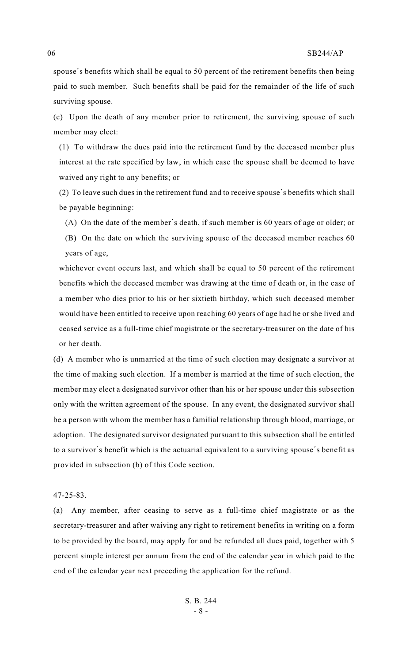spouse's benefits which shall be equal to 50 percent of the retirement benefits then being paid to such member. Such benefits shall be paid for the remainder of the life of such surviving spouse.

(c) Upon the death of any member prior to retirement, the surviving spouse of such member may elect:

(1) To withdraw the dues paid into the retirement fund by the deceased member plus interest at the rate specified by law, in which case the spouse shall be deemed to have waived any right to any benefits; or

(2) To leave such dues in the retirement fund and to receive spouse's benefits which shall be payable beginning:

(A) On the date of the member's death, if such member is 60 years of age or older; or

(B) On the date on which the surviving spouse of the deceased member reaches 60 years of age,

whichever event occurs last, and which shall be equal to 50 percent of the retirement benefits which the deceased member was drawing at the time of death or, in the case of a member who dies prior to his or her sixtieth birthday, which such deceased member would have been entitled to receive upon reaching 60 years of age had he or she lived and ceased service as a full-time chief magistrate or the secretary-treasurer on the date of his or her death.

(d) A member who is unmarried at the time of such election may designate a survivor at the time of making such election. If a member is married at the time of such election, the member may elect a designated survivor other than his or her spouse under this subsection only with the written agreement of the spouse. In any event, the designated survivor shall be a person with whom the member has a familial relationship through blood, marriage, or adoption. The designated survivor designated pursuant to this subsection shall be entitled to a survivor's benefit which is the actuarial equivalent to a surviving spouse's benefit as provided in subsection (b) of this Code section.

#### 47-25-83.

(a) Any member, after ceasing to serve as a full-time chief magistrate or as the secretary-treasurer and after waiving any right to retirement benefits in writing on a form to be provided by the board, may apply for and be refunded all dues paid, together with 5 percent simple interest per annum from the end of the calendar year in which paid to the end of the calendar year next preceding the application for the refund.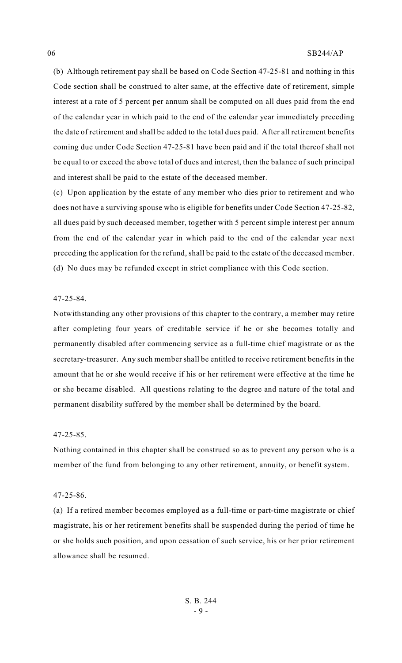(b) Although retirement pay shall be based on Code Section 47-25-81 and nothing in this Code section shall be construed to alter same, at the effective date of retirement, simple interest at a rate of 5 percent per annum shall be computed on all dues paid from the end of the calendar year in which paid to the end of the calendar year immediately preceding the date of retirement and shall be added to the total dues paid. After all retirement benefits coming due under Code Section 47-25-81 have been paid and if the total thereof shall not be equal to or exceed the above total of dues and interest, then the balance of such principal and interest shall be paid to the estate of the deceased member.

(c) Upon application by the estate of any member who dies prior to retirement and who does not have a surviving spouse who is eligible for benefits under Code Section 47-25-82, all dues paid by such deceased member, together with 5 percent simple interest per annum from the end of the calendar year in which paid to the end of the calendar year next preceding the application for the refund, shall be paid to the estate of the deceased member. (d) No dues may be refunded except in strict compliance with this Code section.

#### 47-25-84.

Notwithstanding any other provisions of this chapter to the contrary, a member may retire after completing four years of creditable service if he or she becomes totally and permanently disabled after commencing service as a full-time chief magistrate or as the secretary-treasurer. Any such membershall be entitled to receive retirement benefits in the amount that he or she would receive if his or her retirement were effective at the time he or she became disabled. All questions relating to the degree and nature of the total and permanent disability suffered by the member shall be determined by the board.

#### 47-25-85.

Nothing contained in this chapter shall be construed so as to prevent any person who is a member of the fund from belonging to any other retirement, annuity, or benefit system.

#### 47-25-86.

(a) If a retired member becomes employed as a full-time or part-time magistrate or chief magistrate, his or her retirement benefits shall be suspended during the period of time he or she holds such position, and upon cessation of such service, his or her prior retirement allowance shall be resumed.